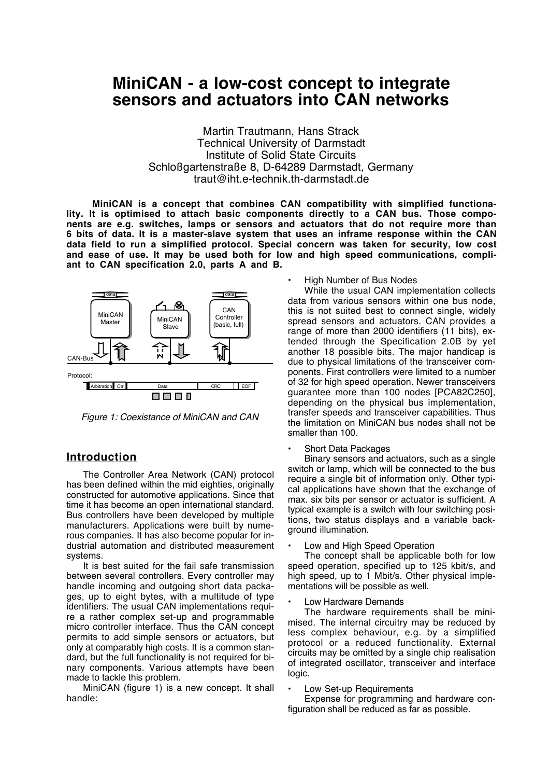# **MiniCAN - a low-cost concept to integrate sensors and actuators into CAN networks**

Martin Trautmann, Hans Strack Technical University of Darmstadt Institute of Solid State Circuits Schloßgartenstraße 8, D-64289 Darmstadt, Germany traut@iht.e-technik.th-darmstadt.de

**MiniCAN is a concept that combines CAN compatibility with simplified functionality. It is optimised to attach basic components directly to a CAN bus. Those components are e.g. switches, lamps or sensors and actuators that do not require more than 6 bits of data. It is a master-slave system that uses an inframe response within the CAN data field to run a simplified protocol. Special concern was taken for security, low cost and ease of use. It may be used both for low and high speed communications, compliant to CAN specification 2.0, parts A and B.**



*Figure 1: Coexistance of MiniCAN and CAN*

## **Introduction**

The Controller Area Network (CAN) protocol has been defined within the mid eighties, originally constructed for automotive applications. Since that time it has become an open international standard. Bus controllers have been developed by multiple manufacturers. Applications were built by numerous companies. It has also become popular for industrial automation and distributed measurement systems.

It is best suited for the fail safe transmission between several controllers. Every controller may handle incoming and outgoing short data packages, up to eight bytes, with a multitude of type identifiers. The usual CAN implementations require a rather complex set-up and programmable micro controller interface. Thus the CAN concept permits to add simple sensors or actuators, but only at comparably high costs. It is a common standard, but the full functionality is not required for binary components. Various attempts have been made to tackle this problem.

MiniCAN (figure 1) is a new concept. It shall handle:

#### • High Number of Bus Nodes

While the usual CAN implementation collects data from various sensors within one bus node, this is not suited best to connect single, widely spread sensors and actuators. CAN provides a range of more than 2000 identifiers (11 bits), extended through the Specification 2.0B by yet another 18 possible bits. The major handicap is due to physical limitations of the transceiver components. First controllers were limited to a number of 32 for high speed operation. Newer transceivers guarantee more than 100 nodes [PCA82C250], depending on the physical bus implementation, transfer speeds and transceiver capabilities. Thus the limitation on MiniCAN bus nodes shall not be smaller than 100.

#### Short Data Packages

Binary sensors and actuators, such as a single switch or lamp, which will be connected to the bus require a single bit of information only. Other typical applications have shown that the exchange of max. six bits per sensor or actuator is sufficient. A typical example is a switch with four switching positions, two status displays and a variable background illumination.

Low and High Speed Operation

The concept shall be applicable both for low speed operation, specified up to 125 kbit/s, and high speed, up to 1 Mbit/s. Other physical implementations will be possible as well.

#### • Low Hardware Demands

The hardware requirements shall be minimised. The internal circuitry may be reduced by less complex behaviour, e.g. by a simplified protocol or a reduced functionality. External circuits may be omitted by a single chip realisation of integrated oscillator, transceiver and interface logic.

#### Low Set-up Requirements

Expense for programming and hardware configuration shall be reduced as far as possible.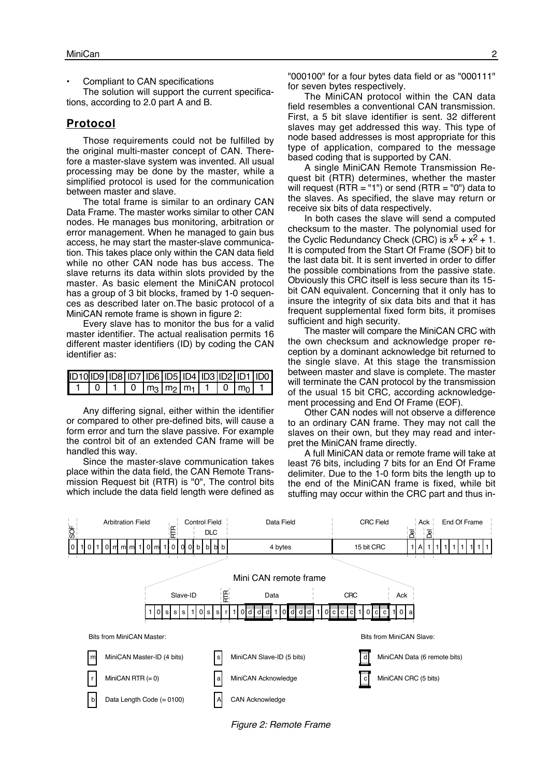• Compliant to CAN specifications

The solution will support the current specifications, according to 2.0 part A and B.

## **Protocol**

Those requirements could not be fulfilled by the original multi-master concept of CAN. Therefore a master-slave system was invented. All usual processing may be done by the master, while a simplified protocol is used for the communication between master and slave.

The total frame is similar to an ordinary CAN Data Frame. The master works similar to other CAN nodes. He manages bus monitoring, arbitration or error management. When he managed to gain bus access, he may start the master-slave communication. This takes place only within the CAN data field while no other CAN node has bus access. The slave returns its data within slots provided by the master. As basic element the MiniCAN protocol has a group of 3 bit blocks, framed by 1-0 sequences as described later on.The basic protocol of a MiniCAN remote frame is shown in figure 2:

Every slave has to monitor the bus for a valid master identifier. The actual realisation permits 16 different master identifiers (ID) by coding the CAN identifier as:

| ID10 ID9   ID8   ID7   ID6   ID5   ID4   ID3  ID2   ID1   ID0 |  |                     |  |  |                |  |
|---------------------------------------------------------------|--|---------------------|--|--|----------------|--|
|                                                               |  | 0 $ m_3 m_2 m_1 $ 1 |  |  | $10 \text{ m}$ |  |

Any differing signal, either within the identifier or compared to other pre-defined bits, will cause a form error and turn the slave passive. For example the control bit of an extended CAN frame will be handled this way.

Since the master-slave communication takes place within the data field, the CAN Remote Transmission Request bit (RTR) is "0", The control bits which include the data field length were defined as "000100" for a four bytes data field or as "000111" for seven bytes respectively.

The MiniCAN protocol within the CAN data field resembles a conventional CAN transmission. First, a 5 bit slave identifier is sent. 32 different slaves may get addressed this way. This type of node based addresses is most appropriate for this type of application, compared to the message based coding that is supported by CAN.

A single MiniCAN Remote Transmission Request bit (RTR) determines, whether the master will request (RTR = "1") or send (RTR = "0") data to the slaves. As specified, the slave may return or receive six bits of data respectively.

In both cases the slave will send a computed checksum to the master. The polynomial used for the Cyclic Redundancy Check (CRC) is  $x^5 + x^2 + 1$ . It is computed from the Start Of Frame (SOF) bit to the last data bit. It is sent inverted in order to differ the possible combinations from the passive state. Obviously this CRC itself is less secure than its 15 bit CAN equivalent. Concerning that it only has to insure the integrity of six data bits and that it has frequent supplemental fixed form bits, it promises sufficient and high security.

The master will compare the MiniCAN CRC with the own checksum and acknowledge proper reception by a dominant acknowledge bit returned to the single slave. At this stage the transmission between master and slave is complete. The master will terminate the CAN protocol by the transmission of the usual 15 bit CRC, according acknowledgement processing and End Of Frame (EOF).

Other CAN nodes will not observe a difference to an ordinary CAN frame. They may not call the slaves on their own, but they may read and interpret the MiniCAN frame directly.

A full MiniCAN data or remote frame will take at least 76 bits, including 7 bits for an End Of Frame delimiter. Due to the 1-0 form bits the length up to the end of the MiniCAN frame is fixed, while bit stuffing may occur within the CRC part and thus in-



*Figure 2: Remote Frame*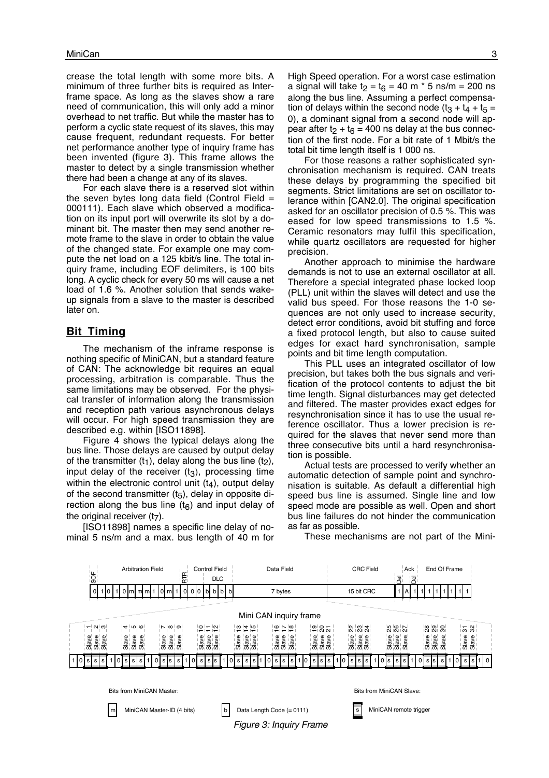crease the total length with some more bits. A minimum of three further bits is required as Interframe space. As long as the slaves show a rare need of communication, this will only add a minor overhead to net traffic. But while the master has to perform a cyclic state request of its slaves, this may cause frequent, redundant requests. For better net performance another type of inquiry frame has been invented (figure 3). This frame allows the master to detect by a single transmission whether there had been a change at any of its slaves.

For each slave there is a reserved slot within the seven bytes long data field (Control Field  $=$ 000111). Each slave which observed a modification on its input port will overwrite its slot by a dominant bit. The master then may send another remote frame to the slave in order to obtain the value of the changed state. For example one may compute the net load on a 125 kbit/s line. The total inquiry frame, including EOF delimiters, is 100 bits long. A cyclic check for every 50 ms will cause a net load of 1.6 %. Another solution that sends wakeup signals from a slave to the master is described later on.

### **Bit Timing**

The mechanism of the inframe response is nothing specific of MiniCAN, but a standard feature of CAN: The acknowledge bit requires an equal processing, arbitration is comparable. Thus the same limitations may be observed. For the physical transfer of information along the transmission and reception path various asynchronous delays will occur. For high speed transmission they are described e.g. within [ISO11898].

Figure 4 shows the typical delays along the bus line. Those delays are caused by output delay of the transmitter  $(t_1)$ , delay along the bus line  $(t_2)$ , input delay of the receiver  $(t<sub>3</sub>)$ , processing time within the electronic control unit  $(t<sub>4</sub>)$ , output delay of the second transmitter  $(t<sub>5</sub>)$ , delay in opposite direction along the bus line  $(t<sub>6</sub>)$  and input delay of the original receiver  $(t<sub>7</sub>)$ .

[ISO11898] names a specific line delay of nominal 5 ns/m and a max. bus length of 40 m for High Speed operation. For a worst case estimation a signal will take  $t_2 = t_6 = 40$  m  $\degree$  5 ns/m = 200 ns along the bus line. Assuming a perfect compensation of delays within the second node  $(t_3 + t_4 + t_5 =$ 0), a dominant signal from a second node will appear after t<sub>2</sub> + t<sub>6</sub> = 400 ns delay at the bus connection of the first node. For a bit rate of 1 Mbit/s the total bit time length itself is 1 000 ns.

For those reasons a rather sophisticated synchronisation mechanism is required. CAN treats these delays by programming the specified bit segments. Strict limitations are set on oscillator tolerance within [CAN2.0]. The original specification asked for an oscillator precision of 0.5 %. This was eased for low speed transmissions to 1.5 %. Ceramic resonators may fulfil this specification, while quartz oscillators are requested for higher precision.

Another approach to minimise the hardware demands is not to use an external oscillator at all. Therefore a special integrated phase locked loop (PLL) unit within the slaves will detect and use the valid bus speed. For those reasons the 1-0 sequences are not only used to increase security, detect error conditions, avoid bit stuffing and force a fixed protocol length, but also to cause suited edges for exact hard synchronisation, sample points and bit time length computation.

This PLL uses an integrated oscillator of low precision, but takes both the bus signals and verification of the protocol contents to adjust the bit time length. Signal disturbances may get detected and filtered. The master provides exact edges for resynchronisation since it has to use the usual reference oscillator. Thus a lower precision is required for the slaves that never send more than three consecutive bits until a hard resynchronisation is possible.

Actual tests are processed to verify whether an automatic detection of sample point and synchronisation is suitable. As default a differential high speed bus line is assumed. Single line and low speed mode are possible as well. Open and short bus line failures do not hinder the communication as far as possible.

These mechanisms are not part of the Mini-



Bits from MiniCAN Master:



*Figure 3: Inquiry Frame*

Bits from MiniCAN Slave:

MiniCAN remote trigger

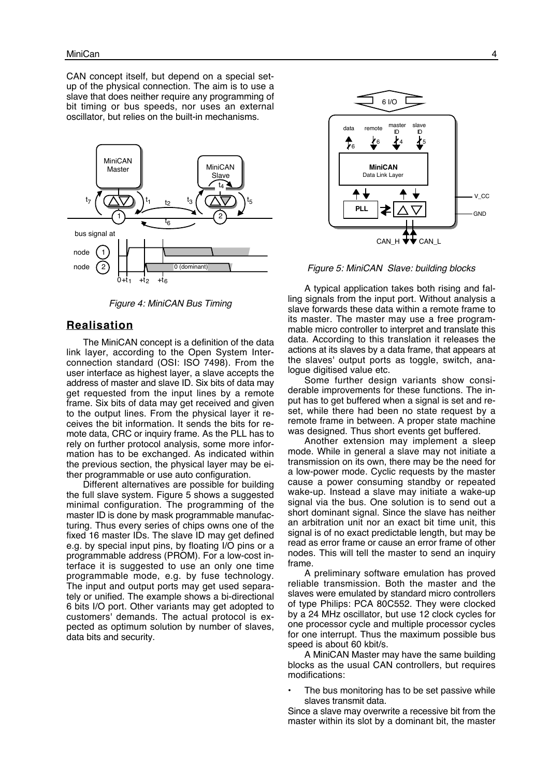CAN concept itself, but depend on a special setup of the physical connection. The aim is to use a slave that does neither require any programming of bit timing or bus speeds, nor uses an external oscillator, but relies on the built-in mechanisms.



*Figure 4: MiniCAN Bus Timing*

#### **Realisation**

The MiniCAN concept is a definition of the data link layer, according to the Open System Interconnection standard (OSI: ISO 7498). From the user interface as highest layer, a slave accepts the address of master and slave ID. Six bits of data may get requested from the input lines by a remote frame. Six bits of data may get received and given to the output lines. From the physical layer it receives the bit information. It sends the bits for remote data, CRC or inquiry frame. As the PLL has to rely on further protocol analysis, some more information has to be exchanged. As indicated within the previous section, the physical layer may be either programmable or use auto configuration.

Different alternatives are possible for building the full slave system. Figure 5 shows a suggested minimal configuration. The programming of the master ID is done by mask programmable manufacturing. Thus every series of chips owns one of the fixed 16 master IDs. The slave ID may get defined e.g. by special input pins, by floating I/O pins or a programmable address (PROM). For a low-cost interface it is suggested to use an only one time programmable mode, e.g. by fuse technology. The input and output ports may get used separately or unified. The example shows a bi-directional 6 bits I/O port. Other variants may get adopted to customers' demands. The actual protocol is expected as optimum solution by number of slaves, data bits and security.



*Figure 5: MiniCAN Slave: building blocks*

A typical application takes both rising and falling signals from the input port. Without analysis a slave forwards these data within a remote frame to its master. The master may use a free programmable micro controller to interpret and translate this data. According to this translation it releases the actions at its slaves by a data frame, that appears at the slaves' output ports as toggle, switch, analogue digitised value etc.

Some further design variants show considerable improvements for these functions. The input has to get buffered when a signal is set and reset, while there had been no state request by a remote frame in between. A proper state machine was designed. Thus short events get buffered.

Another extension may implement a sleep mode. While in general a slave may not initiate a transmission on its own, there may be the need for a low-power mode. Cyclic requests by the master cause a power consuming standby or repeated wake-up. Instead a slave may initiate a wake-up signal via the bus. One solution is to send out a short dominant signal. Since the slave has neither an arbitration unit nor an exact bit time unit, this signal is of no exact predictable length, but may be read as error frame or cause an error frame of other nodes. This will tell the master to send an inquiry frame.

A preliminary software emulation has proved reliable transmission. Both the master and the slaves were emulated by standard micro controllers of type Philips: PCA 80C552. They were clocked by a 24 MHz oscillator, but use 12 clock cycles for one processor cycle and multiple processor cycles for one interrupt. Thus the maximum possible bus speed is about 60 kbit/s.

A MiniCAN Master may have the same building blocks as the usual CAN controllers, but requires modifications:

The bus monitoring has to be set passive while slaves transmit data.

Since a slave may overwrite a recessive bit from the master within its slot by a dominant bit, the master